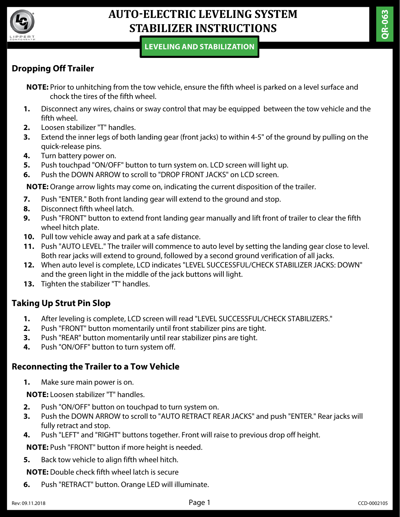

## **AUTO-ELECTRIC LEVELING SYSTEM STABILIZER INSTRUCTIONS**

#### **LEVELING AND STABILIZATION**

### **Dropping Off Trailer**

**NOTE:** Prior to unhitching from the tow vehicle, ensure the fifth wheel is parked on a level surface and chock the tires of the fifth wheel.

- **1.** Disconnect any wires, chains or sway control that may be equipped between the tow vehicle and the fifth wheel.
- **2.** Loosen stabilizer "T" handles.
- **3.** Extend the inner legs of both landing gear (front jacks) to within 4-5" of the ground by pulling on the quick-release pins.
- **4.** Turn battery power on.
- **5.** Push touchpad "ON/OFF" button to turn system on. LCD screen will light up.
- **6.** Push the DOWN ARROW to scroll to "DROP FRONT JACKS" on LCD screen.

**NOTE:** Orange arrow lights may come on, indicating the current disposition of the trailer.

- **7.** Push "ENTER." Both front landing gear will extend to the ground and stop.
- **8.** Disconnect fifth wheel latch.
- **9.** Push "FRONT" button to extend front landing gear manually and lift front of trailer to clear the fifth wheel hitch plate.
- **10.** Pull tow vehicle away and park at a safe distance.
- **11.** Push "AUTO LEVEL." The trailer will commence to auto level by setting the landing gear close to level. Both rear jacks will extend to ground, followed by a second ground verification of all jacks.
- **12.** When auto level is complete, LCD indicates "LEVEL SUCCESSFUL/CHECK STABILIZER JACKS: DOWN" and the green light in the middle of the jack buttons will light.
- **13.** Tighten the stabilizer "T" handles.

### **Taking Up Strut Pin Slop**

- **1.** After leveling is complete, LCD screen will read "LEVEL SUCCESSFUL/CHECK STABILIZERS."
- **2.** Push "FRONT" button momentarily until front stabilizer pins are tight.
- **3.** Push "REAR" button momentarily until rear stabilizer pins are tight.
- **4.** Push "ON/OFF" button to turn system off.

### **Reconnecting the Trailer to a Tow Vehicle**

**1.** Make sure main power is on.

**NOTE:** Loosen stabilizer "T" handles.

- **2.** Push "ON/OFF" button on touchpad to turn system on.
- **3.** Push the DOWN ARROW to scroll to "AUTO RETRACT REAR JACKS" and push "ENTER." Rear jacks will fully retract and stop.
- **4.** Push "LEFT" and "RIGHT" buttons together. Front will raise to previous drop off height.

**NOTE:** Push "FRONT" button if more height is needed.

**5.** Back tow vehicle to align fifth wheel hitch.

**NOTE:** Double check fifth wheel latch is secure

**6.** Push "RETRACT" button. Orange LED will illuminate.